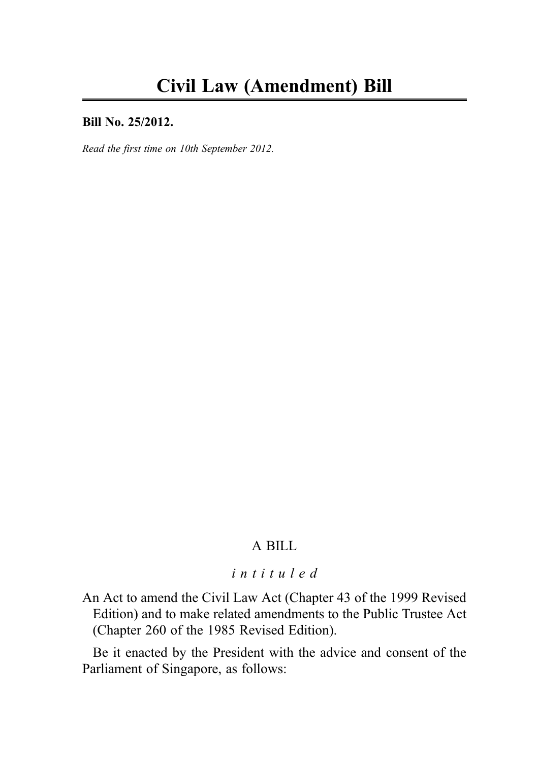#### Bill No. 25/2012.

Read the first time on 10th September 2012.

## A BILL

# intituled

An Act to amend the Civil Law Act (Chapter 43 of the 1999 Revised Edition) and to make related amendments to the Public Trustee Act (Chapter 260 of the 1985 Revised Edition).

Be it enacted by the President with the advice and consent of the Parliament of Singapore, as follows: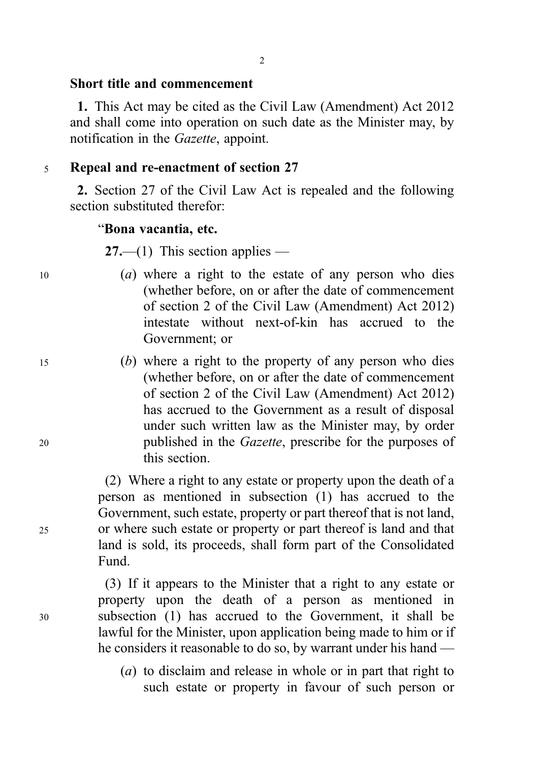#### Short title and commencement

1. This Act may be cited as the Civil Law (Amendment) Act 2012 and shall come into operation on such date as the Minister may, by notification in the *Gazette*, appoint.

### <sup>5</sup> Repeal and re-enactment of section 27

2. Section 27 of the Civil Law Act is repealed and the following section substituted therefor:

#### "Bona vacantia, etc.

 $27$ —(1) This section applies —

- $(a)$  where a right to the estate of any person who dies (whether before, on or after the date of commencement of section 2 of the Civil Law (Amendment) Act 2012) intestate without next-of-kin has accrued to the Government; or
- <sup>15</sup> (b) where a right to the property of any person who dies (whether before, on or after the date of commencement of section 2 of the Civil Law (Amendment) Act 2012) has accrued to the Government as a result of disposal under such written law as the Minister may, by order <sup>20</sup> published in the Gazette, prescribe for the purposes of this section.

(2) Where a right to any estate or property upon the death of a person as mentioned in subsection (1) has accrued to the Government, such estate, property or part thereof that is not land, <sup>25</sup> or where such estate or property or part thereof is land and that land is sold, its proceeds, shall form part of the Consolidated Fund.

(3) If it appears to the Minister that a right to any estate or property upon the death of a person as mentioned in <sup>30</sup> subsection (1) has accrued to the Government, it shall be lawful for the Minister, upon application being made to him or if he considers it reasonable to do so, by warrant under his hand —

> (a) to disclaim and release in whole or in part that right to such estate or property in favour of such person or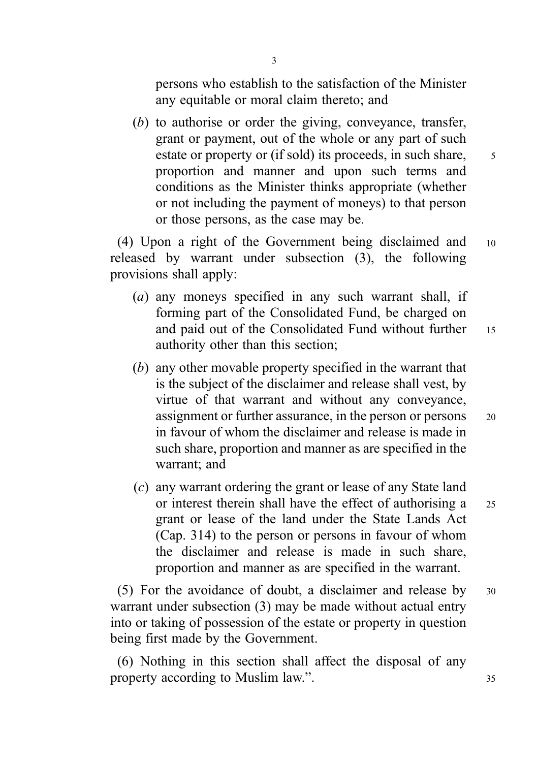persons who establish to the satisfaction of the Minister any equitable or moral claim thereto; and

(b) to authorise or order the giving, conveyance, transfer, grant or payment, out of the whole or any part of such estate or property or (if sold) its proceeds, in such share, 5 proportion and manner and upon such terms and conditions as the Minister thinks appropriate (whether or not including the payment of moneys) to that person or those persons, as the case may be.

(4) Upon a right of the Government being disclaimed and <sup>10</sup> released by warrant under subsection (3), the following provisions shall apply:

- (a) any moneys specified in any such warrant shall, if forming part of the Consolidated Fund, be charged on and paid out of the Consolidated Fund without further 15 authority other than this section;
- (b) any other movable property specified in the warrant that is the subject of the disclaimer and release shall vest, by virtue of that warrant and without any conveyance, assignment or further assurance, in the person or persons <sup>20</sup> in favour of whom the disclaimer and release is made in such share, proportion and manner as are specified in the warrant; and
- (c) any warrant ordering the grant or lease of any State land or interest therein shall have the effect of authorising a 25 grant or lease of the land under the State Lands Act (Cap. 314) to the person or persons in favour of whom the disclaimer and release is made in such share, proportion and manner as are specified in the warrant.

(5) For the avoidance of doubt, a disclaimer and release by <sup>30</sup> warrant under subsection (3) may be made without actual entry into or taking of possession of the estate or property in question being first made by the Government.

(6) Nothing in this section shall affect the disposal of any property according to Muslim law.". 35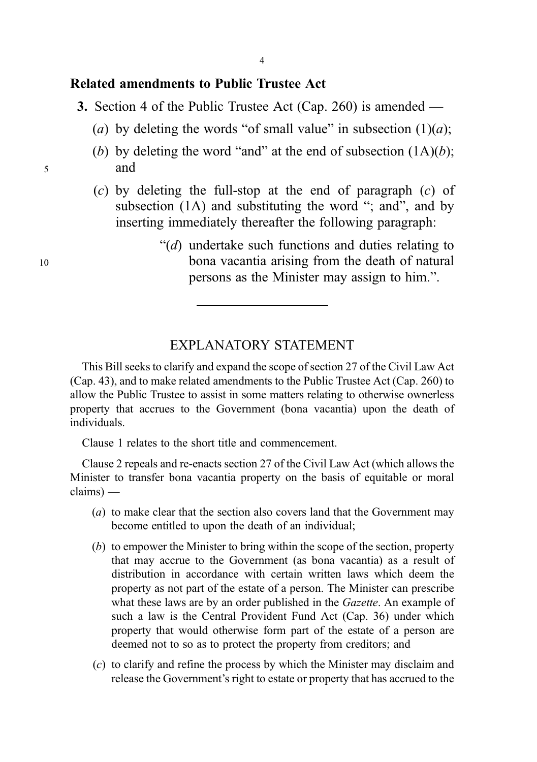### Related amendments to Public Trustee Act

- 3. Section 4 of the Public Trustee Act (Cap. 260) is amended
	- (a) by deleting the words "of small value" in subsection  $(1)(a)$ ;
- (b) by deleting the word "and" at the end of subsection  $(1A)(b)$ ; <sup>5</sup> and
	- (c) by deleting the full-stop at the end of paragraph (c) of subsection (1A) and substituting the word "; and", and by inserting immediately thereafter the following paragraph:
- " $(d)$  undertake such functions and duties relating to <sup>10</sup> bona vacantia arising from the death of natural persons as the Minister may assign to him.".

# EXPLANATORY STATEMENT

This Bill seeks to clarify and expand the scope of section 27 of the Civil Law Act (Cap. 43), and to make related amendments to the Public Trustee Act (Cap. 260) to allow the Public Trustee to assist in some matters relating to otherwise ownerless property that accrues to the Government (bona vacantia) upon the death of individuals.

Clause 1 relates to the short title and commencement.

Clause 2 repeals and re-enacts section 27 of the Civil Law Act (which allows the Minister to transfer bona vacantia property on the basis of equitable or moral claims) —

- (a) to make clear that the section also covers land that the Government may become entitled to upon the death of an individual;
- (b) to empower the Minister to bring within the scope of the section, property that may accrue to the Government (as bona vacantia) as a result of distribution in accordance with certain written laws which deem the property as not part of the estate of a person. The Minister can prescribe what these laws are by an order published in the *Gazette*. An example of such a law is the Central Provident Fund Act (Cap. 36) under which property that would otherwise form part of the estate of a person are deemed not to so as to protect the property from creditors; and
- (c) to clarify and refine the process by which the Minister may disclaim and release the Government's right to estate or property that has accrued to the